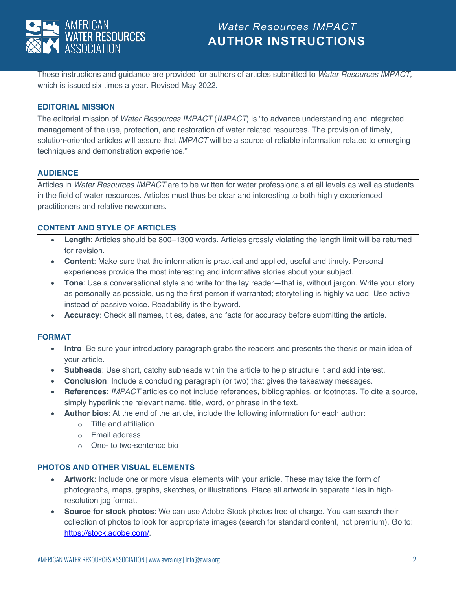

These instructions and guidance are provided for authors of articles submitted to *Water Resources IMPACT,* which is issued six times a year*.* Revised May 2022**.**

## **EDITORIAL MISSION**

The editorial mission of *Water Resources IMPACT* (*IMPACT*) is "to advance understanding and integrated management of the use, protection, and restoration of water related resources. The provision of timely, solution-oriented articles will assure that *IMPACT* will be a source of reliable information related to emerging techniques and demonstration experience."

### **AUDIENCE**

Articles in *Water Resources IMPACT* are to be written for water professionals at all levels as well as students in the field of water resources. Articles must thus be clear and interesting to both highly experienced practitioners and relative newcomers.

## **CONTENT AND STYLE OF ARTICLES**

- **Length**: Articles should be 800–1300 words. Articles grossly violating the length limit will be returned for revision.
- **Content**: Make sure that the information is practical and applied, useful and timely. Personal experiences provide the most interesting and informative stories about your subject.
- **Tone**: Use a conversational style and write for the lay reader—that is, without jargon. Write your story as personally as possible, using the first person if warranted; storytelling is highly valued. Use active instead of passive voice. Readability is the byword.
- **Accuracy**: Check all names, titles, dates, and facts for accuracy before submitting the article.

### **FORMAT**

- **Intro**: Be sure your introductory paragraph grabs the readers and presents the thesis or main idea of your article.
- **Subheads**: Use short, catchy subheads within the article to help structure it and add interest.
- **Conclusion**: Include a concluding paragraph (or two) that gives the takeaway messages.
- **References**: *IMPACT* articles do not include references, bibliographies, or footnotes. To cite a source, simply hyperlink the relevant name, title, word, or phrase in the text.
- **Author bios**: At the end of the article, include the following information for each author:
	- o Title and affiliation
	- o Email address
	- o One- to two-sentence bio

## **PHOTOS AND OTHER VISUAL ELEMENTS**

- **Artwork**: Include one or more visual elements with your article. These may take the form of photographs, maps, graphs, sketches, or illustrations. Place all artwork in separate files in highresolution jpg format.
- **Source for stock photos**: We can use Adobe Stock photos free of charge. You can search their collection of photos to look for appropriate images (search for standard content, not premium). Go to: https://stock.adobe.com/.